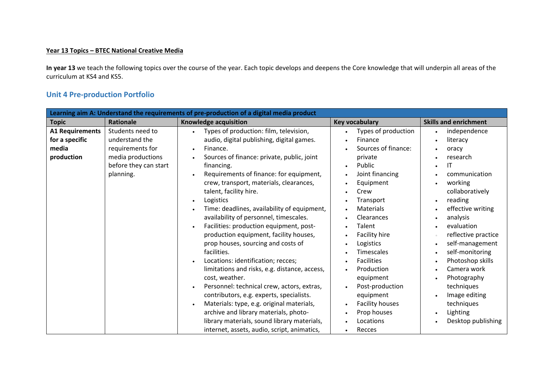## **Year 13 Topics – BTEC National Creative Media**

**In year 13** we teach the following topics over the course of the year. Each topic develops and deepens the Core knowledge that will underpin all areas of the curriculum at KS4 and KS5.

## **Unit 4 Pre‐production Portfolio**

| Learning aim A: Understand the requirements of pre-production of a digital media product |                                                                                                                   |                                                                                                                                                                                                                                                                                                                                                                                                                                                                                                                                                                                                                                                               |                                                                                                                                                                                                                                                                                                                                                                                                                |                                                                                                                                                                                                                                                                         |
|------------------------------------------------------------------------------------------|-------------------------------------------------------------------------------------------------------------------|---------------------------------------------------------------------------------------------------------------------------------------------------------------------------------------------------------------------------------------------------------------------------------------------------------------------------------------------------------------------------------------------------------------------------------------------------------------------------------------------------------------------------------------------------------------------------------------------------------------------------------------------------------------|----------------------------------------------------------------------------------------------------------------------------------------------------------------------------------------------------------------------------------------------------------------------------------------------------------------------------------------------------------------------------------------------------------------|-------------------------------------------------------------------------------------------------------------------------------------------------------------------------------------------------------------------------------------------------------------------------|
| <b>Topic</b>                                                                             | <b>Rationale</b>                                                                                                  | Knowledge acquisition                                                                                                                                                                                                                                                                                                                                                                                                                                                                                                                                                                                                                                         | <b>Key vocabulary</b>                                                                                                                                                                                                                                                                                                                                                                                          | <b>Skills and enrichment</b>                                                                                                                                                                                                                                            |
| <b>A1 Requirements</b><br>for a specific<br>media<br>production                          | Students need to<br>understand the<br>requirements for<br>media productions<br>before they can start<br>planning. | Types of production: film, television,<br>$\bullet$<br>audio, digital publishing, digital games.<br>Finance.<br>$\bullet$<br>Sources of finance: private, public, joint<br>financing.<br>Requirements of finance: for equipment,<br>crew, transport, materials, clearances,                                                                                                                                                                                                                                                                                                                                                                                   | Types of production<br>$\bullet$<br>Finance<br>$\bullet$<br>Sources of finance:<br>private<br>Public<br>$\bullet$<br>Joint financing<br>$\bullet$<br>Equipment<br>$\bullet$                                                                                                                                                                                                                                    | independence<br>literacy<br>oracy<br>research<br>IT<br>communication<br>working                                                                                                                                                                                         |
|                                                                                          |                                                                                                                   | talent, facility hire.<br>Logistics<br>Time: deadlines, availability of equipment,<br>availability of personnel, timescales.<br>Facilities: production equipment, post-<br>production equipment, facility houses,<br>prop houses, sourcing and costs of<br>facilities.<br>Locations: identification; recces;<br>limitations and risks, e.g. distance, access,<br>cost, weather.<br>Personnel: technical crew, actors, extras,<br>contributors, e.g. experts, specialists.<br>Materials: type, e.g. original materials,<br>archive and library materials, photo-<br>library materials, sound library materials,<br>internet, assets, audio, script, animatics, | Crew<br>Transport<br>$\bullet$<br>Materials<br>$\bullet$<br>Clearances<br>$\bullet$<br>Talent<br>$\bullet$<br>Facility hire<br>$\bullet$<br>Logistics<br>$\bullet$<br>Timescales<br><b>Facilities</b><br>$\bullet$<br>Production<br>$\bullet$<br>equipment<br>Post-production<br>$\bullet$<br>equipment<br><b>Facility houses</b><br>$\bullet$<br>Prop houses<br>$\bullet$<br>Locations<br>Recces<br>$\bullet$ | collaboratively<br>reading<br>effective writing<br>analysis<br>evaluation<br>reflective practice<br>self-management<br>self-monitoring<br>Photoshop skills<br>Camera work<br>Photography<br>techniques<br>Image editing<br>techniques<br>Lighting<br>Desktop publishing |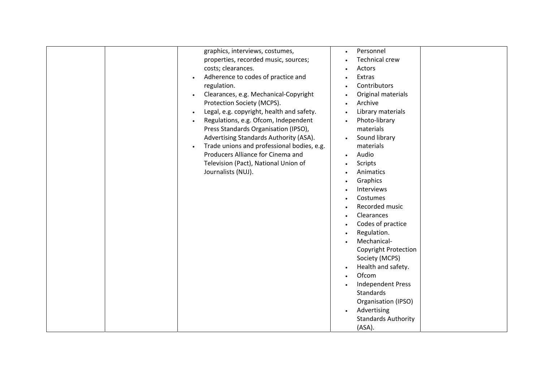| graphics, interviews, costumes,<br>properties, recorded music, sources;<br>costs; clearances.<br>Adherence to codes of practice and<br>regulation.<br>Clearances, e.g. Mechanical-Copyright<br>$\bullet$<br>Protection Society (MCPS).<br>Legal, e.g. copyright, health and safety.<br>$\bullet$<br>Regulations, e.g. Ofcom, Independent<br>Press Standards Organisation (IPSO),<br>Advertising Standards Authority (ASA).<br>Trade unions and professional bodies, e.g.<br>Producers Alliance for Cinema and<br>Television (Pact), National Union of<br>Journalists (NUJ). | Personnel<br><b>Technical crew</b><br>Actors<br>Extras<br>Contributors<br>Original materials<br>Archive<br>Library materials<br>$\bullet$<br>Photo-library<br>materials<br>Sound library<br>materials<br>Audio<br>Scripts<br>Animatics<br>Graphics<br>Interviews<br>Costumes<br>Recorded music<br>Clearances<br>Codes of practice<br>Regulation.<br>Mechanical-<br><b>Copyright Protection</b><br>Society (MCPS)<br>Health and safety.<br>Ofcom<br><b>Independent Press</b><br>Standards<br>Organisation (IPSO) |
|-----------------------------------------------------------------------------------------------------------------------------------------------------------------------------------------------------------------------------------------------------------------------------------------------------------------------------------------------------------------------------------------------------------------------------------------------------------------------------------------------------------------------------------------------------------------------------|-----------------------------------------------------------------------------------------------------------------------------------------------------------------------------------------------------------------------------------------------------------------------------------------------------------------------------------------------------------------------------------------------------------------------------------------------------------------------------------------------------------------|
|                                                                                                                                                                                                                                                                                                                                                                                                                                                                                                                                                                             | Advertising<br><b>Standards Authority</b><br>(ASA).                                                                                                                                                                                                                                                                                                                                                                                                                                                             |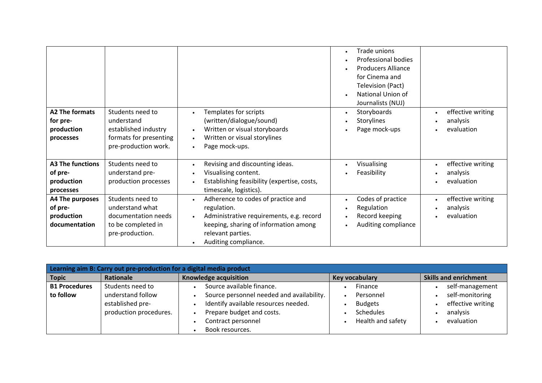|                         |                        |                                                       | Trade unions              |                                |
|-------------------------|------------------------|-------------------------------------------------------|---------------------------|--------------------------------|
|                         |                        |                                                       | Professional bodies       |                                |
|                         |                        |                                                       | <b>Producers Alliance</b> |                                |
|                         |                        |                                                       | for Cinema and            |                                |
|                         |                        |                                                       | Television (Pact)         |                                |
|                         |                        |                                                       | National Union of         |                                |
|                         |                        |                                                       | Journalists (NUJ)         |                                |
| <b>A2 The formats</b>   | Students need to       | Templates for scripts                                 | Storyboards               | effective writing              |
| for pre-                | understand             | (written/dialogue/sound)                              | Storylines                | analysis                       |
| production              | established industry   | Written or visual storyboards<br>$\bullet$            | Page mock-ups             | evaluation                     |
| processes               | formats for presenting | Written or visual storylines<br>$\bullet$             |                           |                                |
|                         | pre-production work.   | Page mock-ups.<br>$\bullet$                           |                           |                                |
|                         |                        |                                                       |                           |                                |
| <b>A3 The functions</b> | Students need to       | Revising and discounting ideas.                       | Visualising               | effective writing<br>$\bullet$ |
| of pre-                 | understand pre-        | Visualising content.                                  | Feasibility               | analysis                       |
| production              | production processes   | Establishing feasibility (expertise, costs,           |                           | evaluation                     |
| processes               |                        | timescale, logistics).                                |                           |                                |
| A4 The purposes         | Students need to       | Adherence to codes of practice and                    | Codes of practice         | effective writing              |
| of pre-                 | understand what        | regulation.                                           | Regulation                | analysis                       |
| production              | documentation needs    | Administrative requirements, e.g. record<br>$\bullet$ | Record keeping            | evaluation                     |
| documentation           | to be completed in     | keeping, sharing of information among                 | Auditing compliance       |                                |
|                         | pre-production.        | relevant parties.                                     |                           |                                |
|                         |                        | Auditing compliance.                                  |                           |                                |

| Learning aim B: Carry out pre-production for a digital media product |                                                                 |                                                                                                                                                         |                                                               |                                                                |  |
|----------------------------------------------------------------------|-----------------------------------------------------------------|---------------------------------------------------------------------------------------------------------------------------------------------------------|---------------------------------------------------------------|----------------------------------------------------------------|--|
| <b>Topic</b>                                                         | Rationale                                                       | Knowledge acquisition                                                                                                                                   | <b>Key vocabulary</b>                                         | <b>Skills and enrichment</b>                                   |  |
| <b>B1 Procedures</b>                                                 | Students need to                                                | Source available finance.                                                                                                                               | Finance                                                       | self-management                                                |  |
| to follow                                                            | understand follow<br>established pre-<br>production procedures. | Source personnel needed and availability.<br>Identify available resources needed.<br>Prepare budget and costs.<br>Contract personnel<br>Book resources. | Personnel<br><b>Budgets</b><br>Schedules<br>Health and safety | self-monitoring<br>effective writing<br>analysis<br>evaluation |  |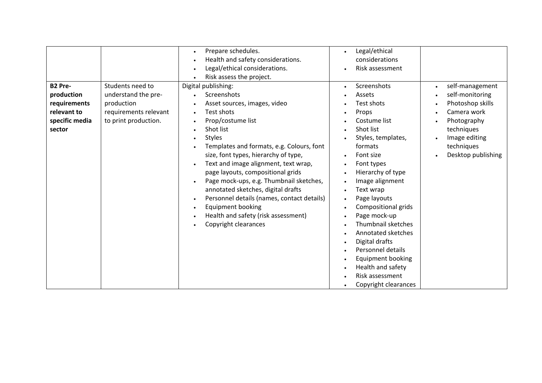|                |                       | Prepare schedules.                         | Legal/ethical<br>$\bullet$       |                              |
|----------------|-----------------------|--------------------------------------------|----------------------------------|------------------------------|
|                |                       | Health and safety considerations.          | considerations                   |                              |
|                |                       | Legal/ethical considerations.              | Risk assessment<br>$\bullet$     |                              |
|                |                       | Risk assess the project.                   |                                  |                              |
| B2 Pre-        | Students need to      | Digital publishing:                        | Screenshots<br>$\bullet$         | self-management<br>$\bullet$ |
| production     | understand the pre-   | Screenshots                                | Assets                           | self-monitoring              |
| requirements   | production            | Asset sources, images, video               | Test shots                       | Photoshop skills             |
| relevant to    | requirements relevant | Test shots                                 | Props<br>$\bullet$               | Camera work                  |
| specific media | to print production.  | Prop/costume list                          | Costume list                     | Photography                  |
| sector         |                       | Shot list                                  | Shot list<br>$\bullet$           | techniques                   |
|                |                       | <b>Styles</b><br>$\bullet$                 | Styles, templates,<br>$\bullet$  | Image editing                |
|                |                       | Templates and formats, e.g. Colours, font  | formats                          | techniques                   |
|                |                       | size, font types, hierarchy of type,       | Font size                        | Desktop publishing           |
|                |                       | Text and image alignment, text wrap,       | Font types<br>$\bullet$          |                              |
|                |                       | page layouts, compositional grids          | Hierarchy of type<br>$\bullet$   |                              |
|                |                       | Page mock-ups, e.g. Thumbnail sketches,    | Image alignment<br>$\bullet$     |                              |
|                |                       | annotated sketches, digital drafts         | Text wrap<br>$\bullet$           |                              |
|                |                       | Personnel details (names, contact details) | Page layouts<br>$\bullet$        |                              |
|                |                       | <b>Equipment booking</b>                   | Compositional grids<br>$\bullet$ |                              |
|                |                       | Health and safety (risk assessment)        | Page mock-up<br>$\bullet$        |                              |
|                |                       | Copyright clearances                       | Thumbnail sketches<br>$\bullet$  |                              |
|                |                       |                                            | Annotated sketches<br>$\bullet$  |                              |
|                |                       |                                            | Digital drafts<br>$\bullet$      |                              |
|                |                       |                                            | Personnel details<br>$\bullet$   |                              |
|                |                       |                                            | Equipment booking                |                              |
|                |                       |                                            | Health and safety<br>$\bullet$   |                              |
|                |                       |                                            | Risk assessment                  |                              |
|                |                       |                                            | Copyright clearances             |                              |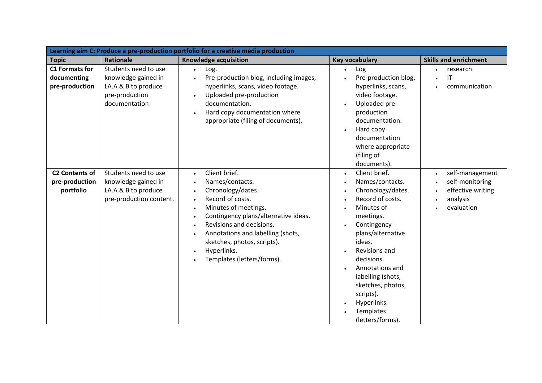| Learning aim C: Produce a pre-production portfolio for a creative media production |                                                                                                       |                                                                                                                                                                                                                                                                                                     |                                                                                                                                                                                                                                                                                                                                                                                                        |                                                                                                |
|------------------------------------------------------------------------------------|-------------------------------------------------------------------------------------------------------|-----------------------------------------------------------------------------------------------------------------------------------------------------------------------------------------------------------------------------------------------------------------------------------------------------|--------------------------------------------------------------------------------------------------------------------------------------------------------------------------------------------------------------------------------------------------------------------------------------------------------------------------------------------------------------------------------------------------------|------------------------------------------------------------------------------------------------|
| <b>Topic</b>                                                                       | <b>Rationale</b>                                                                                      | <b>Knowledge acquisition</b>                                                                                                                                                                                                                                                                        | <b>Key vocabulary</b>                                                                                                                                                                                                                                                                                                                                                                                  | <b>Skills and enrichment</b>                                                                   |
| <b>C1 Formats for</b><br>documenting<br>pre-production                             | Students need to use<br>knowledge gained in<br>LA.A & B to produce<br>pre-production<br>documentation | Log.<br>$\bullet$<br>Pre-production blog, including images,<br>$\bullet$<br>hyperlinks, scans, video footage.<br>Uploaded pre-production<br>documentation.<br>Hard copy documentation where<br>appropriate (filing of documents).                                                                   | Log<br>Pre-production blog,<br>hyperlinks, scans,<br>video footage.<br>Uploaded pre-<br>$\bullet$<br>production<br>documentation.<br>Hard copy<br>$\bullet$<br>documentation<br>where appropriate<br>(filing of<br>documents).                                                                                                                                                                         | research<br>IT<br>communication                                                                |
| <b>C2 Contents of</b><br>pre-production<br>portfolio                               | Students need to use<br>knowledge gained in<br>LA.A & B to produce<br>pre-production content.         | Client brief.<br>$\bullet$<br>Names/contacts.<br>Chronology/dates.<br>Record of costs.<br>Minutes of meetings.<br>Contingency plans/alternative ideas.<br>Revisions and decisions.<br>Annotations and labelling (shots,<br>sketches, photos, scripts).<br>Hyperlinks.<br>Templates (letters/forms). | Client brief.<br>$\bullet$<br>Names/contacts.<br>$\bullet$<br>Chronology/dates.<br>$\bullet$<br>Record of costs.<br>$\bullet$<br>Minutes of<br>meetings.<br>Contingency<br>$\bullet$<br>plans/alternative<br>ideas.<br>Revisions and<br>$\bullet$<br>decisions.<br>Annotations and<br>labelling (shots,<br>sketches, photos,<br>scripts).<br>Hyperlinks.<br>$\bullet$<br>Templates<br>(letters/forms). | self-management<br>$\bullet$<br>self-monitoring<br>effective writing<br>analysis<br>evaluation |